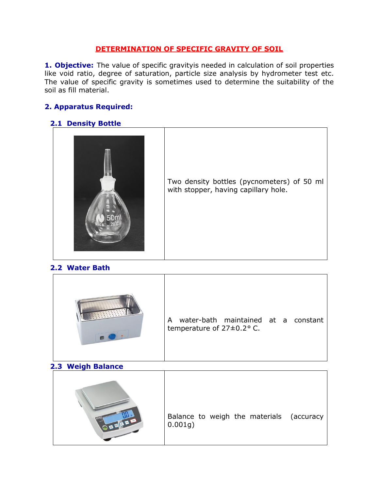### DETERMINATION OF SPECIFIC GRAVITY OF SOIL

**1. Objective:** The value of specific gravityis needed in calculation of soil properties like void ratio, degree of saturation, particle size analysis by hydrometer test etc. The value of specific gravity is sometimes used to determine the suitability of the soil as fill material.

# 2. Apparatus Required:

### 2.1 Density Bottle



Two density bottles (pycnometers) of 50 ml with stopper, having capillary hole.

### 2.2 Water Bath



#### 2.3 Weigh Balance

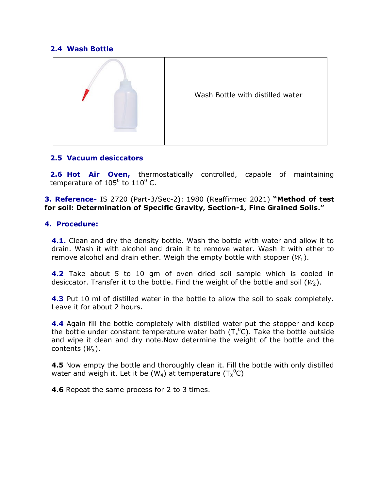### 2.4 Wash Bottle



#### 2.5 Vacuum desiccators

**2.6 Hot Air Oven,** thermostatically controlled, capable of maintaining temperature of 105<sup>0</sup> to 110<sup>0</sup> C.

3. Reference- IS 2720 (Part-3/Sec-2): 1980 (Reaffirmed 2021) "Method of test for soil: Determination of Specific Gravity, Section-1, Fine Grained Soils."

### 4. Procedure:

**4.1.** Clean and dry the density bottle. Wash the bottle with water and allow it to drain. Wash it with alcohol and drain it to remove water. Wash it with ether to remove alcohol and drain ether. Weigh the empty bottle with stopper  $(W_1)$ .

**4.2** Take about 5 to 10 gm of oven dried soil sample which is cooled in desiccator. Transfer it to the bottle. Find the weight of the bottle and soil  $(W_2)$ .

**4.3** Put 10 ml of distilled water in the bottle to allow the soil to soak completely. Leave it for about 2 hours.

4.4 Again fill the bottle completely with distilled water put the stopper and keep the bottle under constant temperature water bath  $(T_x^0C)$ . Take the bottle outside and wipe it clean and dry note.Now determine the weight of the bottle and the contents  $(W_3)$ .

**4.5** Now empty the bottle and thoroughly clean it. Fill the bottle with only distilled water and weigh it. Let it be (W<sub>4</sub>) at temperature (T<sub>x</sub><sup>0</sup>C)

**4.6** Repeat the same process for 2 to 3 times.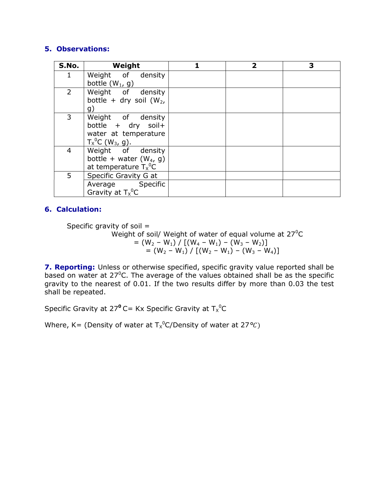# 5. Observations:

| S.No.          | Weight                                                                                            | $\overline{\mathbf{2}}$ | 3 |
|----------------|---------------------------------------------------------------------------------------------------|-------------------------|---|
|                | Weight of density<br>bottle $(W_1, g)$                                                            |                         |   |
| $\overline{2}$ | Weight of density<br>bottle + dry soil $(W_2,$<br>g)                                              |                         |   |
| 3              | Weight of density<br>bottle + dry soil+<br>water at temperature<br>$T_X^0C$ (W <sub>3</sub> , g). |                         |   |
| 4              | Weight of density<br>bottle + water $(W_4, g)$<br>at temperature $T_{x}{}^{0}C$                   |                         |   |
| 5              | Specific Gravity G at                                                                             |                         |   |
|                | Average Specific<br>Gravity at $T_x{}^0C$                                                         |                         |   |

# 6. Calculation:

Specific gravity of soil = Weight of soil/ Weight of water of equal volume at  $27^{\circ}$ C  $= (W_2 - W_1) / [(W_4 - W_1) - (W_3 - W_2)]$  $= (W_2 - W_1) / [(W_2 - W_1) - (W_3 - W_4)]$ 

7. Reporting: Unless or otherwise specified, specific gravity value reported shall be based on water at 27<sup>°</sup>C. The average of the values obtained shall be as the specific gravity to the nearest of 0.01. If the two results differ by more than 0.03 the test shall be repeated.

Specific Gravity at 27 $^{\text{o}}$  C= Kx Specific Gravity at T $_{\text{x}}$ <sup>0</sup>C

Where, K= (Density of water at  $T_{X}{}^{0}$ C/Density of water at 27°C)